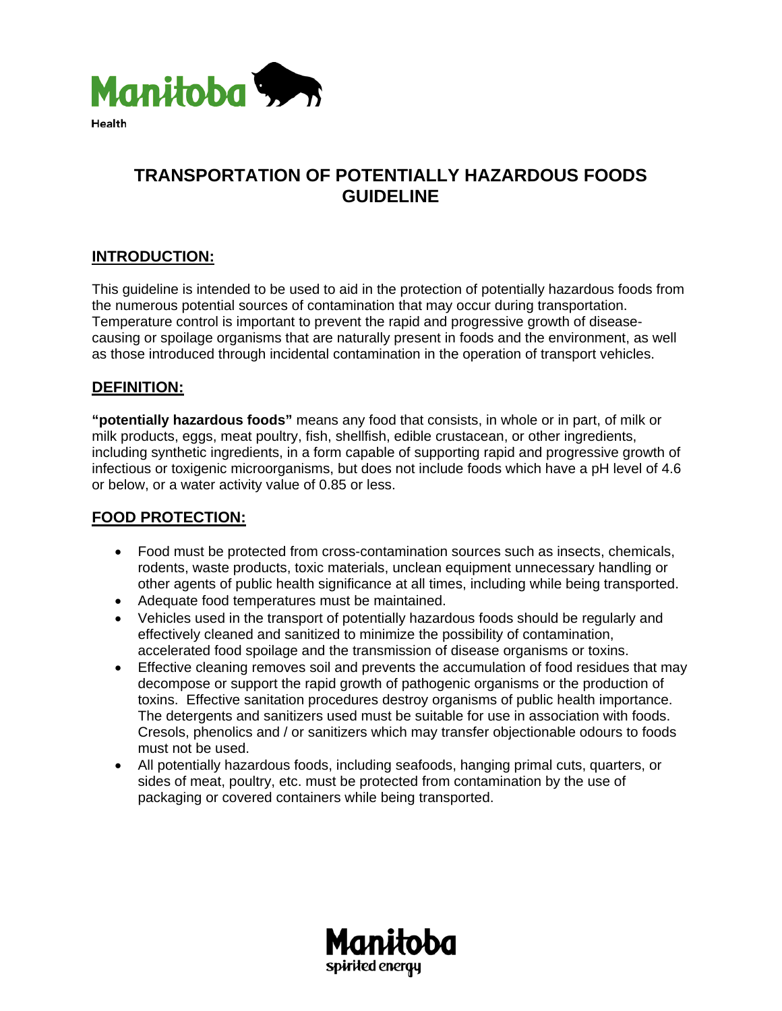

# **TRANSPORTATION OF POTENTIALLY HAZARDOUS FOODS GUIDELINE**

## **INTRODUCTION:**

This guideline is intended to be used to aid in the protection of potentially hazardous foods from the numerous potential sources of contamination that may occur during transportation. Temperature control is important to prevent the rapid and progressive growth of diseasecausing or spoilage organisms that are naturally present in foods and the environment, as well as those introduced through incidental contamination in the operation of transport vehicles.

### **DEFINITION:**

**"potentially hazardous foods"** means any food that consists, in whole or in part, of milk or milk products, eggs, meat poultry, fish, shellfish, edible crustacean, or other ingredients, including synthetic ingredients, in a form capable of supporting rapid and progressive growth of infectious or toxigenic microorganisms, but does not include foods which have a pH level of 4.6 or below, or a water activity value of 0.85 or less.

### **FOOD PROTECTION:**

- Food must be protected from cross-contamination sources such as insects, chemicals, rodents, waste products, toxic materials, unclean equipment unnecessary handling or other agents of public health significance at all times, including while being transported.
- Adequate food temperatures must be maintained.
- Vehicles used in the transport of potentially hazardous foods should be regularly and effectively cleaned and sanitized to minimize the possibility of contamination, accelerated food spoilage and the transmission of disease organisms or toxins.
- Effective cleaning removes soil and prevents the accumulation of food residues that may decompose or support the rapid growth of pathogenic organisms or the production of toxins. Effective sanitation procedures destroy organisms of public health importance. The detergents and sanitizers used must be suitable for use in association with foods. Cresols, phenolics and / or sanitizers which may transfer objectionable odours to foods must not be used.
- All potentially hazardous foods, including seafoods, hanging primal cuts, quarters, or sides of meat, poultry, etc. must be protected from contamination by the use of packaging or covered containers while being transported.